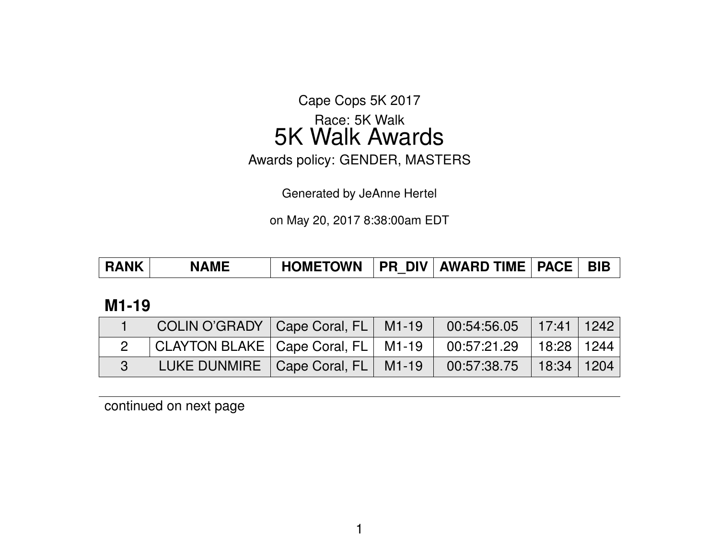Cape Cops 5K 2017

# Race: 5K Walk 5K Walk Awards

Awards policy: GENDER, MASTERS

Generated by JeAnne Hertel

on May 20, 2017 8:38:00am EDT

| <b>HOMETOWN</b><br>  PR DIV   AWARD TIME   PACE  <br><b>BIB</b><br><b>RANK</b><br><b>NAME</b> |  |
|-----------------------------------------------------------------------------------------------|--|
|-----------------------------------------------------------------------------------------------|--|

### **M1-19**

| COLIN O'GRADY   Cape Coral, FL   M1-19   00:54:56.05   17:41   1242 |  |  |  |
|---------------------------------------------------------------------|--|--|--|
| CLAYTON BLAKE   Cape Coral, FL   M1-19   00:57:21.29   18:28   1244 |  |  |  |
| LUKE DUNMIRE   Cape Coral, FL   M1-19   00:57:38.75   18:34   1204  |  |  |  |

continued on next page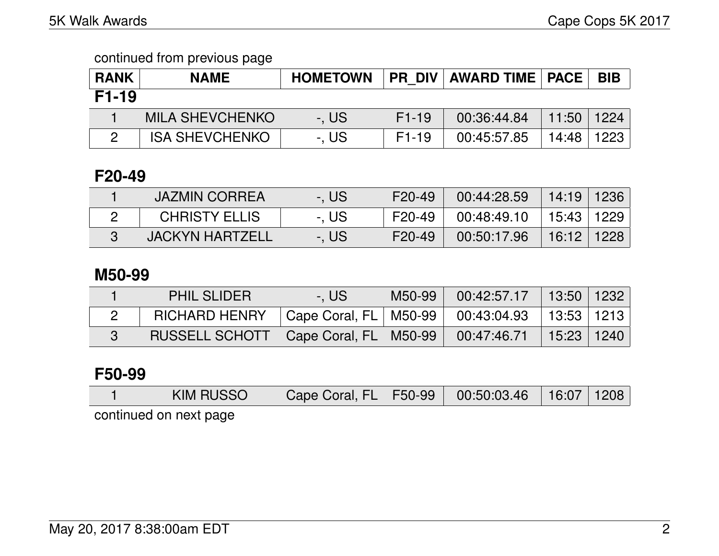### continued from previous page

| <b>RANK</b> | <b>NAME</b>            | <b>HOMETOWN</b> | <b>PR DIV</b> | AWARD TIME   PACE |                | <b>BIB</b> |
|-------------|------------------------|-----------------|---------------|-------------------|----------------|------------|
| F1-19       |                        |                 |               |                   |                |            |
|             | <b>MILA SHEVCHENKO</b> | -. US           | $F1-19$       | 00:36:44.84       | $11:50$   1224 |            |
|             | <b>ISA SHEVCHENKO</b>  | -, US           | $F1-19$       | 00:45:57.85       | 14:48          | 1223       |

## **F20-49**

| <b>JAZMIN CORREA</b>   | -. US | F20-49 | 00:44:28.59 | │ 14:19 │ 1236 │ |  |
|------------------------|-------|--------|-------------|------------------|--|
| <b>CHRISTY ELLIS</b>   | -. US | F20-49 | 00:48:49.10 | 15:43   1229     |  |
| <b>JACKYN HARTZELL</b> | -. US | F20-49 | 00:50:17.96 | 16:12   1228     |  |

### **M50-99**

| <b>PHIL SLIDER</b>                                                    | -. US                                                | M50-99 00:42:57.17 13:50 1232 |  |
|-----------------------------------------------------------------------|------------------------------------------------------|-------------------------------|--|
| RICHARD HENRY                                                         | Cape Coral, FL   M50-99   00:43:04.93   13:53   1213 |                               |  |
| RUSSELL SCHOTT   Cape Coral, FL   M50-99   00:47:46.71   15:23   1240 |                                                      |                               |  |

## **F50-99**

|                        | <b>KIM RUSSO</b> | $\vert$ Cape Coral, FL $\vert$ F50-99 $\vert$ 00:50:03.46 |  |  | $\vert$ 16:07   1208 |  |  |  |
|------------------------|------------------|-----------------------------------------------------------|--|--|----------------------|--|--|--|
| continued on next nage |                  |                                                           |  |  |                      |  |  |  |

continued on next page